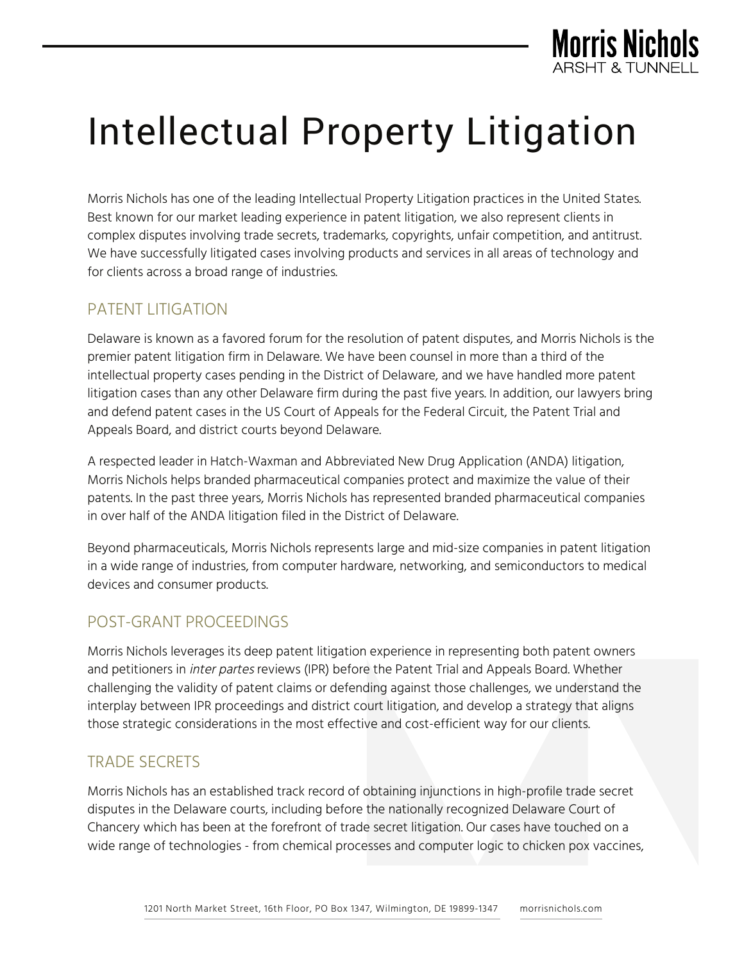

# Intellectual Property Litigation

Morris Nichols has one of the leading Intellectual Property Litigation practices in the United States. Best known for our market leading experience in patent litigation, we also represent clients in complex disputes involving trade secrets, trademarks, copyrights, unfair competition, and antitrust. We have successfully litigated cases involving products and services in all areas of technology and for clients across a broad range of industries.

# PATENT LITIGATION

Delaware is known as a favored forum for the resolution of patent disputes, and Morris Nichols is the premier patent litigation firm in Delaware. We have been counsel in more than a third of the intellectual property cases pending in the District of Delaware, and we have handled more patent litigation cases than any other Delaware firm during the past five years. In addition, our lawyers bring and defend patent cases in the US Court of Appeals for the Federal Circuit, the Patent Trial and Appeals Board, and district courts beyond Delaware.

A respected leader in Hatch-Waxman and Abbreviated New Drug Application (ANDA) litigation, Morris Nichols helps branded pharmaceutical companies protect and maximize the value of their patents. In the past three years, Morris Nichols has represented branded pharmaceutical companies in over half of the ANDA litigation filed in the District of Delaware.

Beyond pharmaceuticals, Morris Nichols represents large and mid-size companies in patent litigation in a wide range of industries, from computer hardware, networking, and semiconductors to medical devices and consumer products.

# POST-GRANT PROCEEDINGS

Morris Nichols leverages its deep patent litigation experience in representing both patent owners and petitioners in *inter partes* reviews (IPR) before the Patent Trial and Appeals Board. Whether challenging the validity of patent claims or defending against those challenges, we understand the interplay between IPR proceedings and district court litigation, and develop a strategy that aligns those strategic considerations in the most effective and cost-efficient way for our clients.

# TRADE SECRETS

Morris Nichols has an established track record of obtaining injunctions in high-profile trade secret disputes in the Delaware courts, including before the nationally recognized Delaware Court of Chancery which has been at the forefront of trade secret litigation. Our cases have touched on a wide range of technologies - from chemical processes and computer logic to chicken pox vaccines,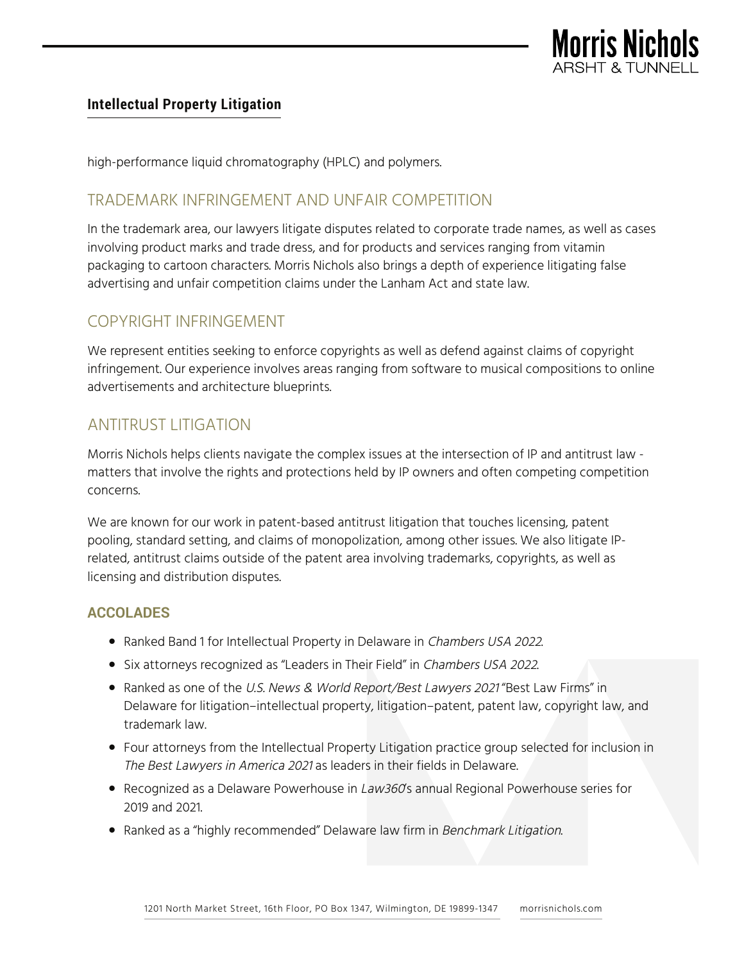

#### **Intellectual Property Litigation**

high-performance liquid chromatography (HPLC) and polymers.

## TRADEMARK INFRINGEMENT AND UNFAIR COMPETITION

In the trademark area, our lawyers litigate disputes related to corporate trade names, as well as cases involving product marks and trade dress, and for products and services ranging from vitamin packaging to cartoon characters. Morris Nichols also brings a depth of experience litigating false advertising and unfair competition claims under the Lanham Act and state law.

## COPYRIGHT INFRINGEMENT

We represent entities seeking to enforce copyrights as well as defend against claims of copyright infringement. Our experience involves areas ranging from software to musical compositions to online advertisements and architecture blueprints.

# ANTITRUST LITIGATION

Morris Nichols helps clients navigate the complex issues at the intersection of IP and antitrust law matters that involve the rights and protections held by IP owners and often competing competition concerns.

We are known for our work in patent-based antitrust litigation that touches licensing, patent pooling, standard setting, and claims of monopolization, among other issues. We also litigate IPrelated, antitrust claims outside of the patent area involving trademarks, copyrights, as well as licensing and distribution disputes.

### **ACCOLADES**

- Ranked Band 1 for Intellectual Property in Delaware in Chambers USA 2022.
- Six attorneys recognized as "Leaders in Their Field" in Chambers USA 2022.
- Ranked as one of the U.S. News & World Report/Best Lawyers 2021 "Best Law Firms" in Delaware for litigation–intellectual property, litigation–patent, patent law, copyright law, and trademark law.
- Four attorneys from the Intellectual Property Litigation practice group selected for inclusion in The Best Lawyers in America <sup>2021</sup> as leaders in their fields in Delaware.
- Recognized as a Delaware Powerhouse in Law360's annual Regional Powerhouse series for 2019 and 2021.
- Ranked as a "highly recommended" Delaware law firm in Benchmark Litigation.